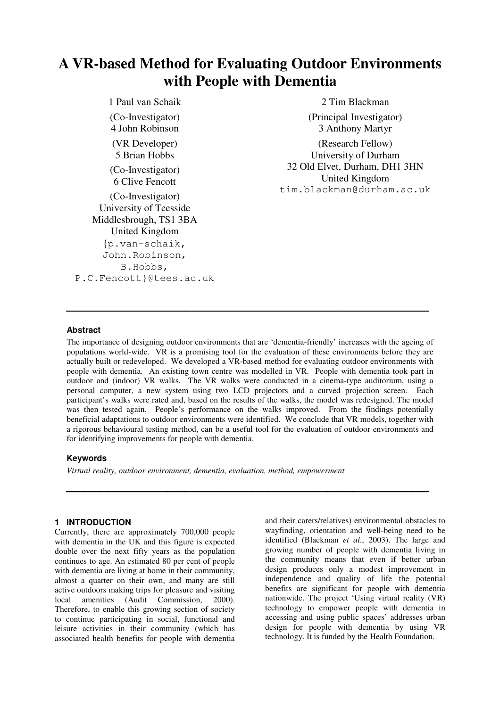# **A VR-based Method for Evaluating Outdoor Environments with People with Dementia**

1 Paul van Schaik (Co-Investigator) 4 John Robinson (VR Developer) 5 Brian Hobbs (Co-Investigator) 6 Clive Fencott (Co-Investigator) University of Teesside Middlesbrough, TS1 3BA United Kingdom {p.van-schaik, John.Robinson, B.Hobbs, P.C.Fencott}@tees.ac.uk

2 Tim Blackman (Principal Investigator) 3 Anthony Martyr (Research Fellow) University of Durham 32 Old Elvet, Durham, DH1 3HN United Kingdom tim.blackman@durham.ac.uk

### **Abstract**

The importance of designing outdoor environments that are 'dementia-friendly' increases with the ageing of populations world-wide. VR is a promising tool for the evaluation of these environments before they are actually built or redeveloped. We developed a VR-based method for evaluating outdoor environments with people with dementia. An existing town centre was modelled in VR. People with dementia took part in outdoor and (indoor) VR walks. The VR walks were conducted in a cinema-type auditorium, using a personal computer, a new system using two LCD projectors and a curved projection screen. Each participant's walks were rated and, based on the results of the walks, the model was redesigned. The model was then tested again. People's performance on the walks improved. From the findings potentially beneficial adaptations to outdoor environments were identified. We conclude that VR models, together with a rigorous behavioural testing method, can be a useful tool for the evaluation of outdoor environments and for identifying improvements for people with dementia.

# **Keywords**

*Virtual reality, outdoor environment, dementia, evaluation, method, empowerment*

### **1 INTRODUCTION**

Currently, there are approximately 700,000 people with dementia in the UK and this figure is expected double over the next fifty years as the population continues to age. An estimated 80 per cent of people with dementia are living at home in their community, almost a quarter on their own, and many are still active outdoors making trips for pleasure and visiting local amenities (Audit Commission, 2000). Therefore, to enable this growing section of society to continue participating in social, functional and leisure activities in their community (which has associated health benefits for people with dementia and their carers/relatives) environmental obstacles to wayfinding, orientation and well-being need to be identified (Blackman *et al*., 2003). The large and growing number of people with dementia living in the community means that even if better urban design produces only a modest improvement in independence and quality of life the potential benefits are significant for people with dementia nationwide. The project 'Using virtual reality (VR) technology to empower people with dementia in accessing and using public spaces' addresses urban design for people with dementia by using VR technology. It is funded by the Health Foundation.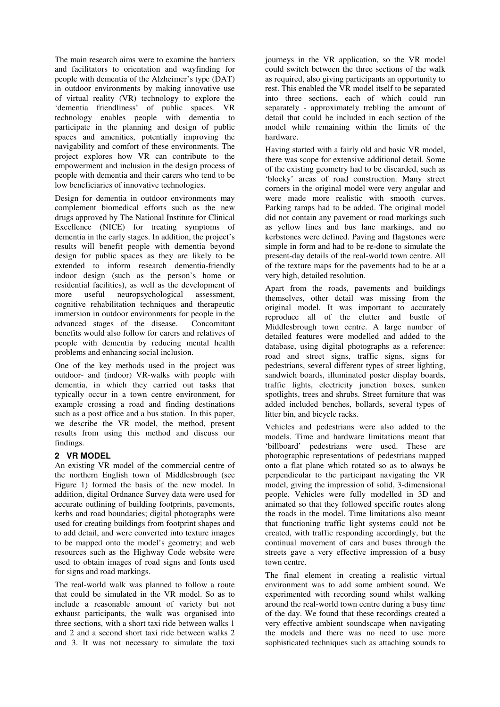The main research aims were to examine the barriers and facilitators to orientation and wayfinding for people with dementia of the Alzheimer's type (DAT) in outdoor environments by making innovative use of virtual reality (VR) technology to explore the 'dementia friendliness' of public spaces. VR technology enables people with dementia to participate in the planning and design of public spaces and amenities, potentially improving the navigability and comfort of these environments. The project explores how VR can contribute to the empowerment and inclusion in the design process of people with dementia and their carers who tend to be low beneficiaries of innovative technologies.

Design for dementia in outdoor environments may complement biomedical efforts such as the new drugs approved by The National Institute for Clinical Excellence (NICE) for treating symptoms of dementia in the early stages. In addition, the project's results will benefit people with dementia beyond design for public spaces as they are likely to be extended to inform research dementia-friendly indoor design (such as the person's home or residential facilities), as well as the development of more useful neuropsychological assessment, cognitive rehabilitation techniques and therapeutic immersion in outdoor environments for people in the advanced stages of the disease. Concomitant benefits would also follow for carers and relatives of people with dementia by reducing mental health problems and enhancing social inclusion.

One of the key methods used in the project was outdoor- and (indoor) VR-walks with people with dementia, in which they carried out tasks that typically occur in a town centre environment, for example crossing a road and finding destinations such as a post office and a bus station. In this paper, we describe the VR model, the method, present results from using this method and discuss our findings.

#### **2 VR MODEL**

An existing VR model of the commercial centre of the northern English town of Middlesbrough (see Figure 1) formed the basis of the new model. In addition, digital Ordnance Survey data were used for accurate outlining of building footprints, pavements, kerbs and road boundaries; digital photographs were used for creating buildings from footprint shapes and to add detail, and were converted into texture images to be mapped onto the model's geometry; and web resources such as the Highway Code website were used to obtain images of road signs and fonts used for signs and road markings.

The real-world walk was planned to follow a route that could be simulated in the VR model. So as to include a reasonable amount of variety but not exhaust participants, the walk was organised into three sections, with a short taxi ride between walks 1 and 2 and a second short taxi ride between walks 2 and 3. It was not necessary to simulate the taxi journeys in the VR application, so the VR model could switch between the three sections of the walk as required, also giving participants an opportunity to rest. This enabled the VR model itself to be separated into three sections, each of which could run separately - approximately trebling the amount of detail that could be included in each section of the model while remaining within the limits of the hardware.

Having started with a fairly old and basic VR model, there was scope for extensive additional detail. Some of the existing geometry had to be discarded, such as 'blocky' areas of road construction. Many street corners in the original model were very angular and were made more realistic with smooth curves. Parking ramps had to be added. The original model did not contain any pavement or road markings such as yellow lines and bus lane markings, and no kerbstones were defined. Paving and flagstones were simple in form and had to be re-done to simulate the present-day details of the real-world town centre. All of the texture maps for the pavements had to be at a very high, detailed resolution.

Apart from the roads, pavements and buildings themselves, other detail was missing from the original model. It was important to accurately reproduce all of the clutter and bustle of Middlesbrough town centre. A large number of detailed features were modelled and added to the database, using digital photographs as a reference: road and street signs, traffic signs, signs for pedestrians, several different types of street lighting, sandwich boards, illuminated poster display boards, traffic lights, electricity junction boxes, sunken spotlights, trees and shrubs. Street furniture that was added included benches, bollards, several types of litter bin, and bicycle racks.

Vehicles and pedestrians were also added to the models. Time and hardware limitations meant that 'billboard' pedestrians were used. These are photographic representations of pedestrians mapped onto a flat plane which rotated so as to always be perpendicular to the participant navigating the VR model, giving the impression of solid, 3-dimensional people. Vehicles were fully modelled in 3D and animated so that they followed specific routes along the roads in the model. Time limitations also meant that functioning traffic light systems could not be created, with traffic responding accordingly, but the continual movement of cars and buses through the streets gave a very effective impression of a busy town centre.

The final element in creating a realistic virtual environment was to add some ambient sound. We experimented with recording sound whilst walking around the real-world town centre during a busy time of the day. We found that these recordings created a very effective ambient soundscape when navigating the models and there was no need to use more sophisticated techniques such as attaching sounds to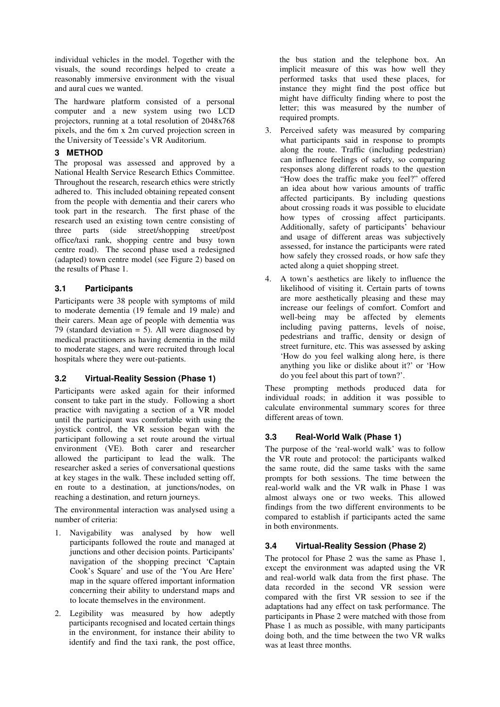individual vehicles in the model. Together with the visuals, the sound recordings helped to create a reasonably immersive environment with the visual and aural cues we wanted.

The hardware platform consisted of a personal computer and a new system using two LCD projectors, running at a total resolution of 2048x768 pixels, and the 6m x 2m curved projection screen in the University of Teesside's VR Auditorium.

# **3 METHOD**

The proposal was assessed and approved by a National Health Service Research Ethics Committee. Throughout the research, research ethics were strictly adhered to. This included obtaining repeated consent from the people with dementia and their carers who took part in the research. The first phase of the research used an existing town centre consisting of three parts (side street/shopping street/post office/taxi rank, shopping centre and busy town centre road). The second phase used a redesigned (adapted) town centre model (see Figure 2) based on the results of Phase 1.

### **3.1 Participants**

Participants were 38 people with symptoms of mild to moderate dementia (19 female and 19 male) and their carers. Mean age of people with dementia was 79 (standard deviation  $=$  5). All were diagnosed by medical practitioners as having dementia in the mild to moderate stages, and were recruited through local hospitals where they were out-patients.

# **3.2 Virtual-Reality Session (Phase 1)**

Participants were asked again for their informed consent to take part in the study. Following a short practice with navigating a section of a VR model until the participant was comfortable with using the joystick control, the VR session began with the participant following a set route around the virtual environment (VE). Both carer and researcher allowed the participant to lead the walk. The researcher asked a series of conversational questions at key stages in the walk. These included setting off, en route to a destination, at junctions/nodes, on reaching a destination, and return journeys.

The environmental interaction was analysed using a number of criteria:

- 1. Navigability was analysed by how well participants followed the route and managed at junctions and other decision points. Participants' navigation of the shopping precinct 'Captain Cook's Square' and use of the 'You Are Here' map in the square offered important information concerning their ability to understand maps and to locate themselves in the environment.
- 2. Legibility was measured by how adeptly participants recognised and located certain things in the environment, for instance their ability to identify and find the taxi rank, the post office,

the bus station and the telephone box. An implicit measure of this was how well they performed tasks that used these places, for instance they might find the post office but might have difficulty finding where to post the letter; this was measured by the number of required prompts.

- 3. Perceived safety was measured by comparing what participants said in response to prompts along the route. Traffic (including pedestrian) can influence feelings of safety, so comparing responses along different roads to the question "How does the traffic make you feel?" offered an idea about how various amounts of traffic affected participants. By including questions about crossing roads it was possible to elucidate how types of crossing affect participants. Additionally, safety of participants' behaviour and usage of different areas was subjectively assessed, for instance the participants were rated how safely they crossed roads, or how safe they acted along a quiet shopping street.
- 4. A town's aesthetics are likely to influence the likelihood of visiting it. Certain parts of towns are more aesthetically pleasing and these may increase our feelings of comfort. Comfort and well-being may be affected by elements including paving patterns, levels of noise, pedestrians and traffic, density or design of street furniture, etc. This was assessed by asking 'How do you feel walking along here, is there anything you like or dislike about it?' or 'How do you feel about this part of town?'.

These prompting methods produced data for individual roads; in addition it was possible to calculate environmental summary scores for three different areas of town.

# **3.3 Real-World Walk (Phase 1)**

The purpose of the 'real-world walk' was to follow the VR route and protocol: the participants walked the same route, did the same tasks with the same prompts for both sessions. The time between the real-world walk and the VR walk in Phase 1 was almost always one or two weeks. This allowed findings from the two different environments to be compared to establish if participants acted the same in both environments.

# **3.4 Virtual-Reality Session (Phase 2)**

The protocol for Phase 2 was the same as Phase 1, except the environment was adapted using the VR and real-world walk data from the first phase. The data recorded in the second VR session were compared with the first VR session to see if the adaptations had any effect on task performance. The participants in Phase 2 were matched with those from Phase 1 as much as possible, with many participants doing both, and the time between the two VR walks was at least three months.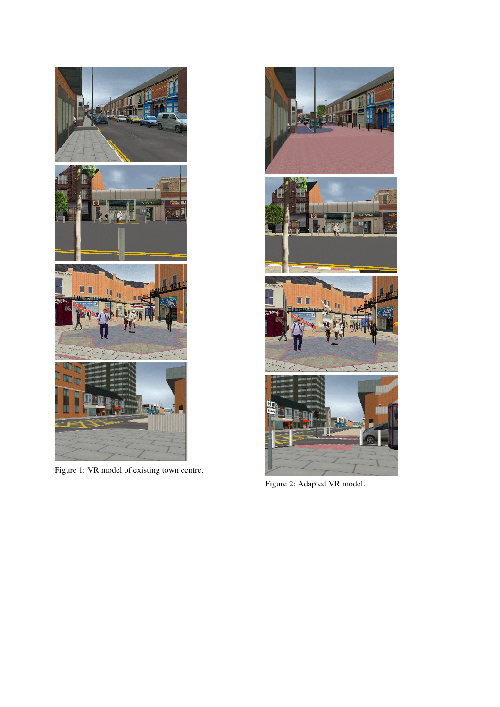

Figure 1: VR model of existing town centre.



Figure 2: Adapted VR model.